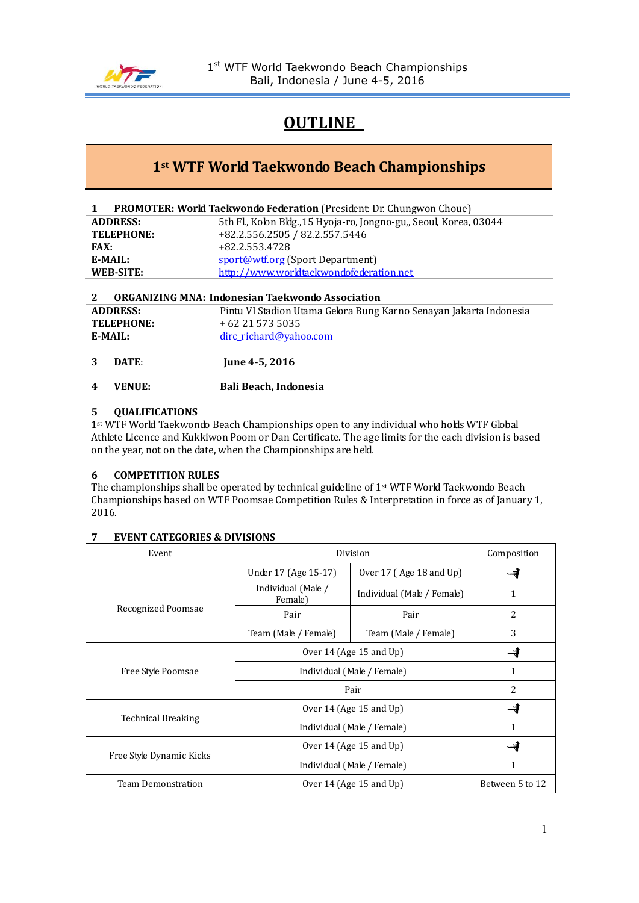

## **OUTLINE**

### **1st WTF World Taekwondo Beach Championships**

|      |                  | PROMOTER: World Taekwondo Federation (President: Dr. Chungwon Choue) |
|------|------------------|----------------------------------------------------------------------|
|      | <b>ADDRESS:</b>  | 5th Fl., Kolon Bldg., 15 Hyoja-ro, Jongno-gu,, Seoul, Korea, 03044   |
|      | TELEPHONE:       | +82.2.556.2505 / 82.2.557.5446                                       |
| FAX: |                  | +82.2.553.4728                                                       |
|      | E-MAIL:          | sport@wtf.org (Sport Department)                                     |
|      | <b>WEB-SITE:</b> | http://www.worldtaekwondofederation.net                              |
|      |                  |                                                                      |

### **2 ORGANIZING MNA: Indonesian Taekwondo Association ADDRESS:** Pintu VI Stadion Utama Gelora Bung Karno Senayan Jakarta Indonesia **TELEPHONE:** + 62 21 573 5035 **E-MAIL:** [dirc\\_richard@yahoo.com](mailto:dirc_richard@yahoo.com)

- **3 DATE**: **June 4-5, 2016**
- **4 VENUE: Bali Beach, Indonesia**

#### **5 QUALIFICATIONS**

1st WTF World Taekwondo Beach Championships open to any individual who holds WTF Global Athlete Licence and Kukkiwon Poom or Dan Certificate. The age limits for the each division is based on the year, not on the date, when the Championships are held.

#### **6 COMPETITION RULES**

The championships shall be operated by technical guideline of 1st WTF World Taekwondo Beach Championships based on WTF Poomsae Competition Rules & Interpretation in force as of January 1, 2016.

#### **7 EVENT CATEGORIES & DIVISIONS**

| Event                     | Division                      | Composition                |                 |
|---------------------------|-------------------------------|----------------------------|-----------------|
|                           | Under 17 (Age 15-17)          | Over 17 (Age 18 and Up)    |                 |
|                           | Individual (Male /<br>Female) | Individual (Male / Female) | 1               |
| Recognized Poomsae        | Pair                          | Pair                       | 2               |
|                           | Team (Male / Female)          | Team (Male / Female)       | 3               |
|                           | Over 14 (Age 15 and $Up$ )    |                            |                 |
| Free Style Poomsae        | Individual (Male / Female)    |                            | 1               |
|                           | Pair                          | 2                          |                 |
|                           | Over 14 (Age 15 and $Up$ )    |                            |                 |
| <b>Technical Breaking</b> | Individual (Male / Female)    | 1                          |                 |
|                           | Over 14 (Age 15 and $Up$ )    |                            |                 |
| Free Style Dynamic Kicks  | Individual (Male / Female)    | 1                          |                 |
| Team Demonstration        | Over 14 (Age 15 and $Up$ )    |                            | Between 5 to 12 |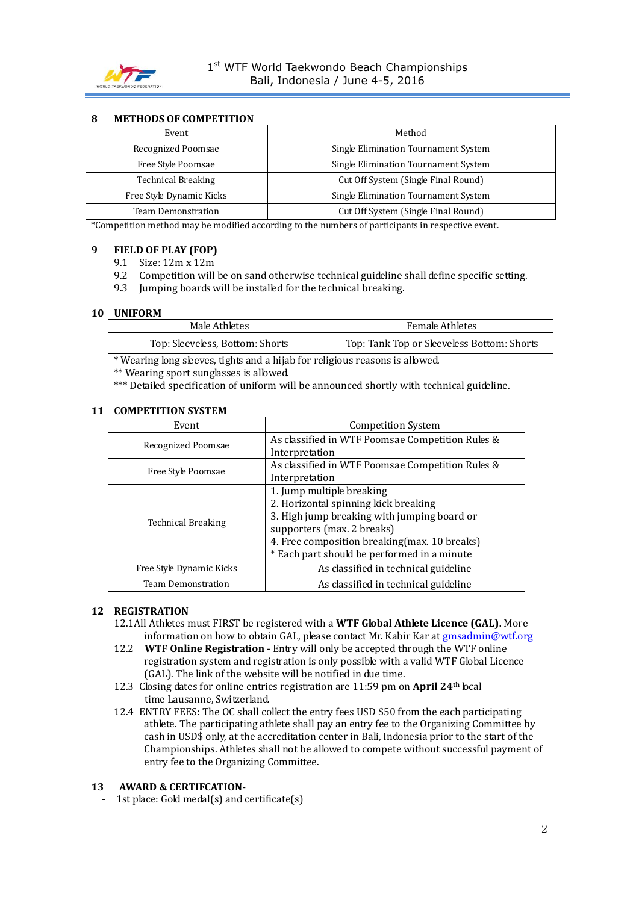

#### **8 METHODS OF COMPETITION**

| Event                     | Method                               |  |
|---------------------------|--------------------------------------|--|
| Recognized Poomsae        | Single Elimination Tournament System |  |
| Free Style Poomsae        | Single Elimination Tournament System |  |
| <b>Technical Breaking</b> | Cut Off System (Single Final Round)  |  |
| Free Style Dynamic Kicks  | Single Elimination Tournament System |  |
| Team Demonstration        | Cut Off System (Single Final Round)  |  |

\*Competition method may be modified according to the numbers of participants in respective event.

#### **9 FIELD OF PLAY (FOP)**

- 9.1 Size: 12m x 12m
- 9.2 Competition will be on sand otherwise technical guideline shall define specific setting.
- 9.3 Jumping boards will be installed for the technical breaking.

#### **10 UNIFORM**

| Male Athletes                   | <b>Female Athletes</b>                     |  |
|---------------------------------|--------------------------------------------|--|
| Top: Sleeveless, Bottom: Shorts | Top: Tank Top or Sleeveless Bottom: Shorts |  |

\* Wearing long sleeves, tights and a hijab for religious reasons is allowed.

\*\* Wearing sport sunglasses is allowed.

\*\*\* Detailed specification of uniform will be announced shortly with technical guideline.

| Event                     | <b>Competition System</b>                        |  |
|---------------------------|--------------------------------------------------|--|
| Recognized Poomsae        | As classified in WTF Poomsae Competition Rules & |  |
|                           | Interpretation                                   |  |
| Free Style Poomsae        | As classified in WTF Poomsae Competition Rules & |  |
|                           | Interpretation                                   |  |
|                           | 1. Jump multiple breaking                        |  |
|                           | 2. Horizontal spinning kick breaking             |  |
| <b>Technical Breaking</b> | 3. High jump breaking with jumping board or      |  |
|                           | supporters (max. 2 breaks)                       |  |
|                           | 4. Free composition breaking (max. 10 breaks)    |  |
|                           | * Each part should be performed in a minute      |  |
| Free Style Dynamic Kicks  | As classified in technical guideline             |  |
| <b>Team Demonstration</b> | As classified in technical guideline             |  |

#### **11 COMPETITION SYSTEM**

#### **12 REGISTRATION**

- 12.1All Athletes must FIRST be registered with a **WTF Global Athlete Licence (GAL).** More information on how to obtain GAL, please contact Mr. Kabir Kar at **gmsadmin@wtf.org**
- 12.2 **WTF Online Registration**  Entry will only be accepted through the WTF online registration system and registration is only possible with a valid WTF Global Licence (GAL). The link of the website will be notified in due time.
- 12.3 Closing dates for online entries registration are 11:59 pm on **April 24th** local time Lausanne, Switzerland.
- 12.4 ENTRY FEES: The OC shall collect the entry fees USD \$50 from the each participating athlete. The participating athlete shall pay an entry fee to the Organizing Committee by cash in USD\$ only, at the accreditation center in Bali, Indonesia prior to the start of the Championships. Athletes shall not be allowed to compete without successful payment of entry fee to the Organizing Committee.

#### **13 AWARD & CERTIFCATION-**

1st place: Gold medal(s) and certificate $(s)$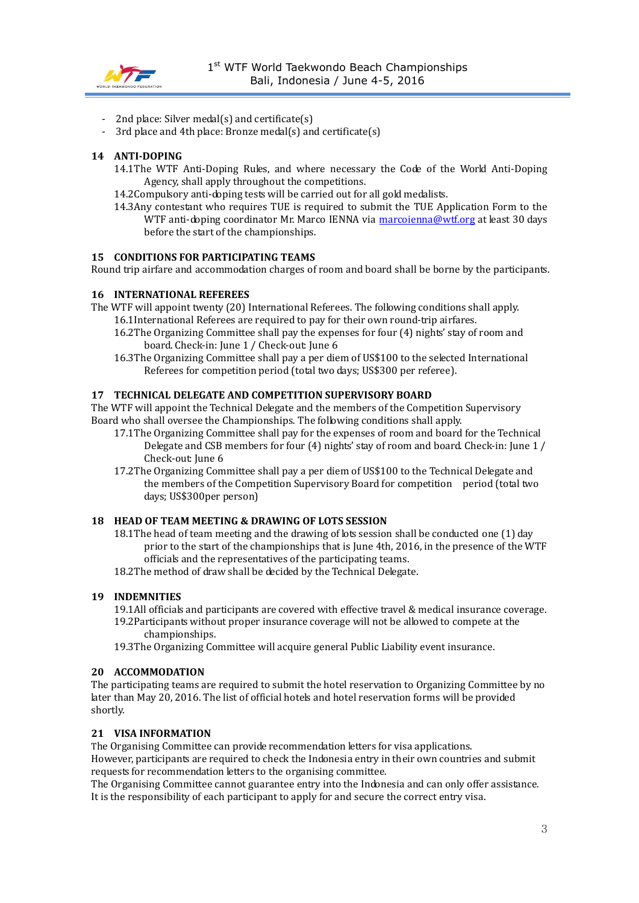

- 2nd place: Silver medal(s) and certificate(s)
- 3rd place and 4th place: Bronze medal(s) and certificate(s)

#### **14 ANTI-DOPING**

- 14.1The WTF Anti-Doping Rules, and where necessary the Code of the World Anti-Doping Agency, shall apply throughout the competitions.
- 14.2Compulsory anti-doping tests will be carried out for all gold medalists.
- 14.3Any contestant who requires TUE is required to submit the TUE Application Form to the WTF anti-doping coordinator Mr. Marco IENNA via [marcoienna@wtf.org](mailto:marcoienna@wtf.org) at least 30 days before the start of the championships.

#### **15 CONDITIONS FOR PARTICIPATING TEAMS**

Round trip airfare and accommodation charges of room and board shall be borne by the participants.

#### **16 INTERNATIONAL REFEREES**

- The WTF will appoint twenty (20) International Referees. The following conditions shall apply. 16.1International Referees are required to pay for their own round-trip airfares.
	- 16.2The Organizing Committee shall pay the expenses for four (4) nights' stay of room and board. Check-in: June 1 / Check-out: June 6
	- 16.3The Organizing Committee shall pay a per diem of US\$100 to the selected International Referees for competition period (total two days; US\$300 per referee).

### **17 TECHNICAL DELEGATE AND COMPETITION SUPERVISORY BOARD**

The WTF will appoint the Technical Delegate and the members of the Competition Supervisory Board who shall oversee the Championships. The following conditions shall apply.

- 17.1The Organizing Committee shall pay for the expenses of room and board for the Technical Delegate and CSB members for four (4) nights' stay of room and board. Check-in: June 1 / Check-out: June 6
- 17.2The Organizing Committee shall pay a per diem of US\$100 to the Technical Delegate and the members of the Competition Supervisory Board for competition period (total two days; US\$300per person)

#### **18 HEAD OF TEAM MEETING & DRAWING OF LOTS SESSION**

18.1The head of team meeting and the drawing of lots session shall be conducted one (1) day prior to the start of the championships that is June 4th, 2016, in the presence of the WTF officials and the representatives of the participating teams.

18.2The method of draw shall be decided by the Technical Delegate.

#### **19 INDEMNITIES**

- 19.1All officials and participants are covered with effective travel & medical insurance coverage. 19.2Participants without proper insurance coverage will not be allowed to compete at the
	- championships.
- 19.3The Organizing Committee will acquire general Public Liability event insurance.

#### **20 ACCOMMODATION**

The participating teams are required to submit the hotel reservation to Organizing Committee by no later than May 20, 2016. The list of official hotels and hotel reservation forms will be provided shortly.

#### **21 VISA INFORMATION**

The Organising Committee can provide recommendation letters for visa applications. However, participants are required to check the Indonesia entry in their own countries and submit requests for recommendation letters to the organising committee.

The Organising Committee cannot guarantee entry into the Indonesia and can only offer assistance. It is the responsibility of each participant to apply for and secure the correct entry visa.